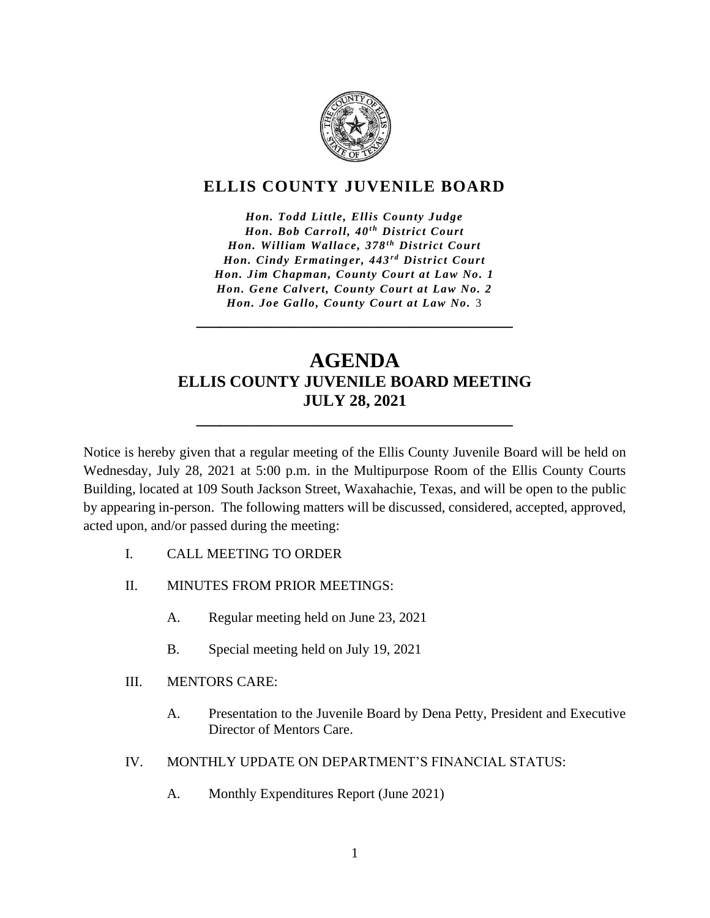

## **ELLIS COUNTY JUVENILE BOARD**

*Hon. Todd Little, Ellis County Judge Hon. Bob Carroll, 40<sup>th</sup> District Court Hon. William Wallace, 378<sup>th</sup> District Court Hon. Cindy Ermatinger, 443<sup>rd</sup> District Court Hon. Jim Chapman, County Court at Law No. 1 Hon. Gene Calvert, County Court at Law No. 2 Hon. Joe Gallo, County Court at Law No.* 3

# **AGENDA ELLIS COUNTY JUVENILE BOARD MEETING JULY 28, 2021**

**\_\_\_\_\_\_\_\_\_\_\_\_\_\_\_\_\_\_\_\_\_\_\_\_\_\_\_\_\_\_\_\_\_\_\_\_\_\_\_**

**\_\_\_\_\_\_\_\_\_\_\_\_\_\_\_\_\_\_\_\_\_\_\_\_\_\_\_\_\_\_\_\_\_\_\_\_\_\_\_**

Notice is hereby given that a regular meeting of the Ellis County Juvenile Board will be held on Wednesday, July 28, 2021 at 5:00 p.m. in the Multipurpose Room of the Ellis County Courts Building, located at 109 South Jackson Street, Waxahachie, Texas, and will be open to the public by appearing in-person. The following matters will be discussed, considered, accepted, approved, acted upon, and/or passed during the meeting:

- I. CALL MEETING TO ORDER
- II. MINUTES FROM PRIOR MEETINGS:
	- A. Regular meeting held on June 23, 2021
	- B. Special meeting held on July 19, 2021
- III. MENTORS CARE:
	- A. Presentation to the Juvenile Board by Dena Petty, President and Executive Director of Mentors Care.
- IV. MONTHLY UPDATE ON DEPARTMENT'S FINANCIAL STATUS:
	- A. Monthly Expenditures Report (June 2021)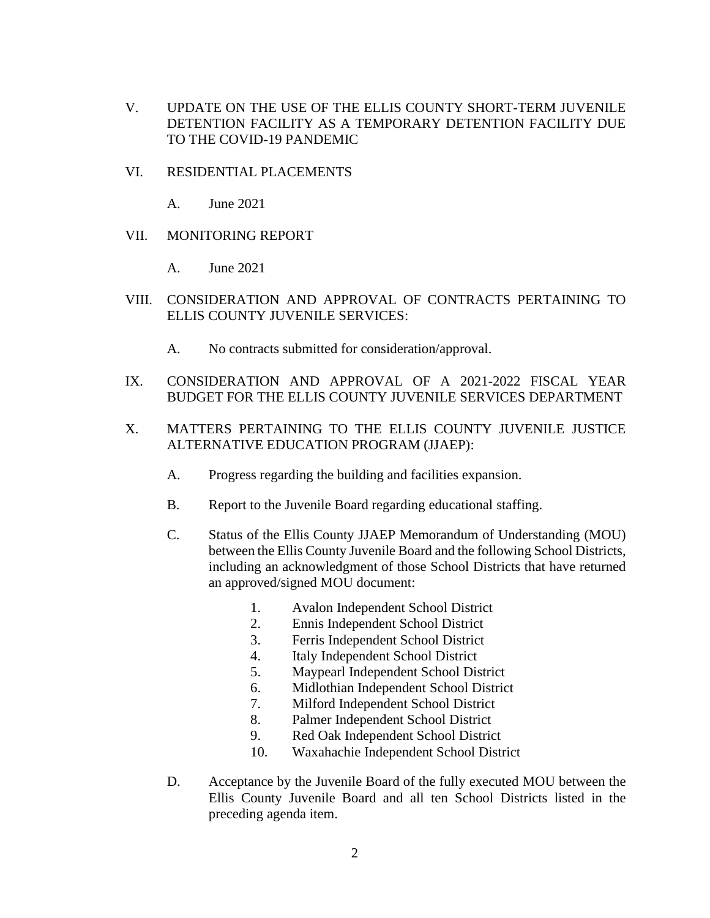- V. UPDATE ON THE USE OF THE ELLIS COUNTY SHORT-TERM JUVENILE DETENTION FACILITY AS A TEMPORARY DETENTION FACILITY DUE TO THE COVID-19 PANDEMIC
- VI. RESIDENTIAL PLACEMENTS
	- A. June 2021
- VII. MONITORING REPORT
	- A. June 2021
- VIII. CONSIDERATION AND APPROVAL OF CONTRACTS PERTAINING TO ELLIS COUNTY JUVENILE SERVICES:
	- A. No contracts submitted for consideration/approval.
- IX. CONSIDERATION AND APPROVAL OF A 2021-2022 FISCAL YEAR BUDGET FOR THE ELLIS COUNTY JUVENILE SERVICES DEPARTMENT
- X. MATTERS PERTAINING TO THE ELLIS COUNTY JUVENILE JUSTICE ALTERNATIVE EDUCATION PROGRAM (JJAEP):
	- A. Progress regarding the building and facilities expansion.
	- B. Report to the Juvenile Board regarding educational staffing.
	- C. Status of the Ellis County JJAEP Memorandum of Understanding (MOU) between the Ellis County Juvenile Board and the following School Districts, including an acknowledgment of those School Districts that have returned an approved/signed MOU document:
		- 1. Avalon Independent School District
		- 2. Ennis Independent School District
		- 3. Ferris Independent School District
		- 4. Italy Independent School District
		- 5. Maypearl Independent School District
		- 6. Midlothian Independent School District
		- 7. Milford Independent School District
		- 8. Palmer Independent School District
		- 9. Red Oak Independent School District
		- 10. Waxahachie Independent School District
	- D. Acceptance by the Juvenile Board of the fully executed MOU between the Ellis County Juvenile Board and all ten School Districts listed in the preceding agenda item.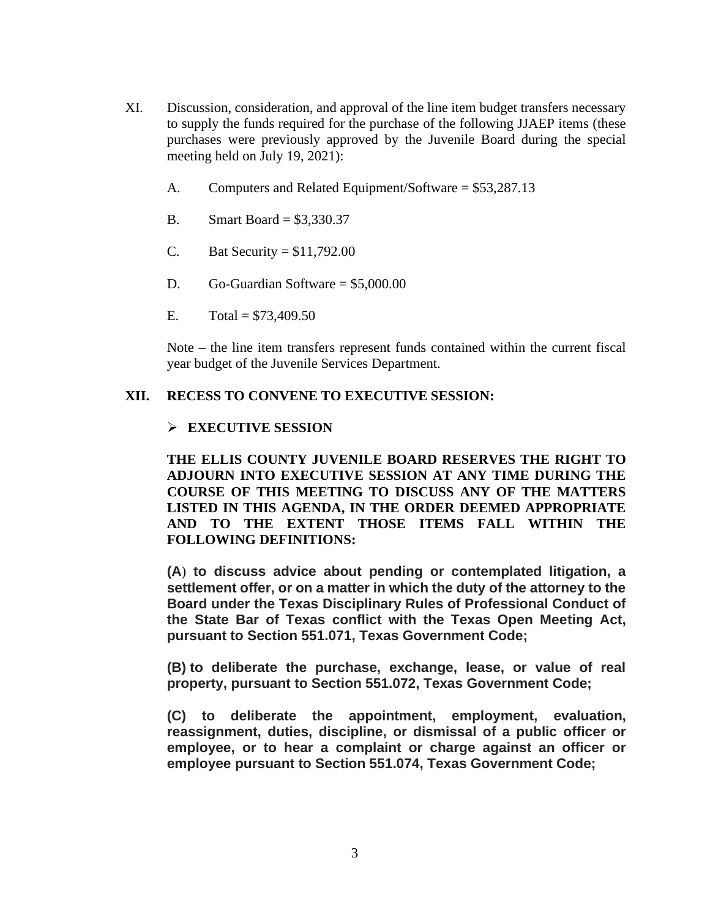- XI. Discussion, consideration, and approval of the line item budget transfers necessary to supply the funds required for the purchase of the following JJAEP items (these purchases were previously approved by the Juvenile Board during the special meeting held on July 19, 2021):
	- A. Computers and Related Equipment/Software = \$53,287.13
	- B. Smart Board = \$3,330.37
	- C. Bat Security =  $$11,792.00$
	- D. Go-Guardian Software = \$5,000.00
	- E.  $Total = $73,409.50$

Note – the line item transfers represent funds contained within the current fiscal year budget of the Juvenile Services Department.

### **XII. RECESS TO CONVENE TO EXECUTIVE SESSION:**

### ➢ **EXECUTIVE SESSION**

**THE ELLIS COUNTY JUVENILE BOARD RESERVES THE RIGHT TO ADJOURN INTO EXECUTIVE SESSION AT ANY TIME DURING THE COURSE OF THIS MEETING TO DISCUSS ANY OF THE MATTERS LISTED IN THIS AGENDA, IN THE ORDER DEEMED APPROPRIATE AND TO THE EXTENT THOSE ITEMS FALL WITHIN THE FOLLOWING DEFINITIONS:**

**(A**) **to discuss advice about pending or contemplated litigation, a settlement offer, or on a matter in which the duty of the attorney to the Board under the Texas Disciplinary Rules of Professional Conduct of the State Bar of Texas conflict with the Texas Open Meeting Act, pursuant to Section 551.071, Texas Government Code;**

**(B) to deliberate the purchase, exchange, lease, or value of real property, pursuant to Section 551.072, Texas Government Code;**

**(C) to deliberate the appointment, employment, evaluation, reassignment, duties, discipline, or dismissal of a public officer or employee, or to hear a complaint or charge against an officer or employee pursuant to Section 551.074, Texas Government Code;**